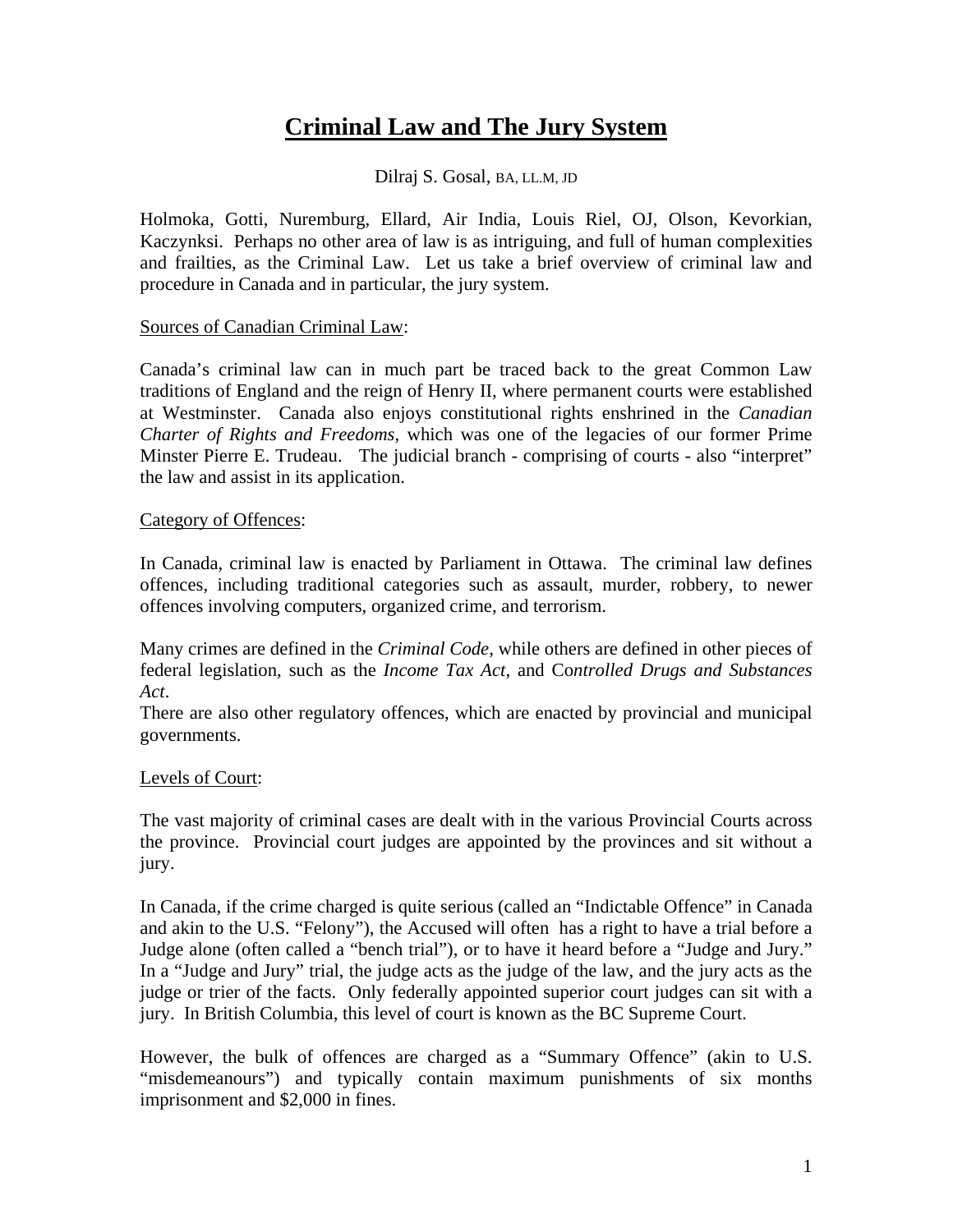# **Criminal Law and The Jury System**

Dilraj S. Gosal, BA, LL.M, JD

Holmoka, Gotti, Nuremburg, Ellard, Air India, Louis Riel, OJ, Olson, Kevorkian, Kaczynksi. Perhaps no other area of law is as intriguing, and full of human complexities and frailties, as the Criminal Law. Let us take a brief overview of criminal law and procedure in Canada and in particular, the jury system.

#### Sources of Canadian Criminal Law:

Canada's criminal law can in much part be traced back to the great Common Law traditions of England and the reign of Henry II, where permanent courts were established at Westminster. Canada also enjoys constitutional rights enshrined in the *Canadian Charter of Rights and Freedoms*, which was one of the legacies of our former Prime Minster Pierre E. Trudeau. The judicial branch - comprising of courts - also "interpret" the law and assist in its application.

#### Category of Offences:

In Canada, criminal law is enacted by Parliament in Ottawa. The criminal law defines offences, including traditional categories such as assault, murder, robbery, to newer offences involving computers, organized crime, and terrorism.

Many crimes are defined in the *Criminal Code*, while others are defined in other pieces of federal legislation, such as the *Income Tax Act*, and Co*ntrolled Drugs and Substances Act*.

There are also other regulatory offences, which are enacted by provincial and municipal governments.

### Levels of Court:

The vast majority of criminal cases are dealt with in the various Provincial Courts across the province. Provincial court judges are appointed by the provinces and sit without a jury.

In Canada, if the crime charged is quite serious (called an "Indictable Offence" in Canada and akin to the U.S. "Felony"), the Accused will often has a right to have a trial before a Judge alone (often called a "bench trial"), or to have it heard before a "Judge and Jury." In a "Judge and Jury" trial, the judge acts as the judge of the law, and the jury acts as the judge or trier of the facts. Only federally appointed superior court judges can sit with a jury. In British Columbia, this level of court is known as the BC Supreme Court.

However, the bulk of offences are charged as a "Summary Offence" (akin to U.S. "misdemeanours") and typically contain maximum punishments of six months imprisonment and \$2,000 in fines.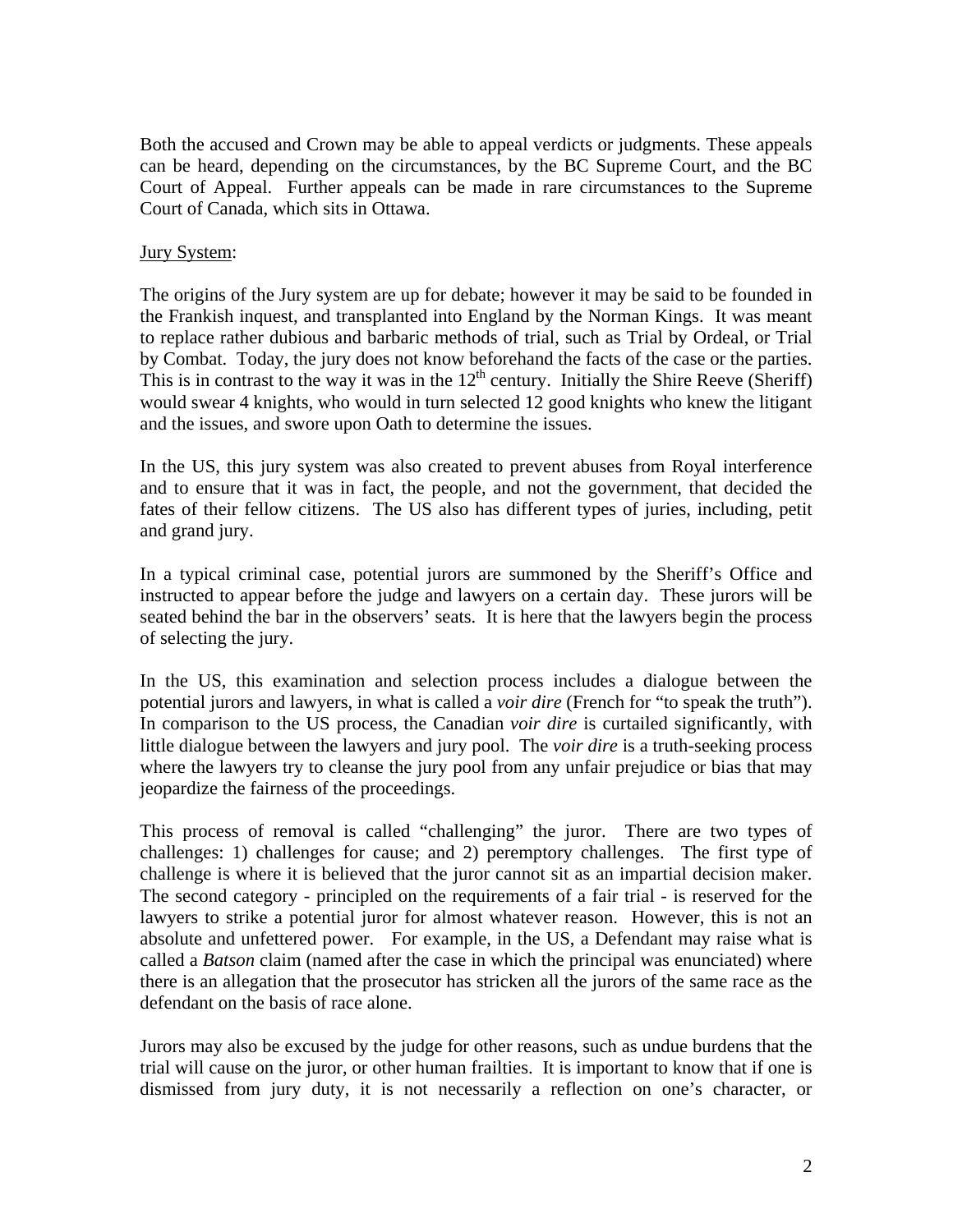Both the accused and Crown may be able to appeal verdicts or judgments. These appeals can be heard, depending on the circumstances, by the BC Supreme Court, and the BC Court of Appeal. Further appeals can be made in rare circumstances to the Supreme Court of Canada, which sits in Ottawa.

## Jury System:

The origins of the Jury system are up for debate; however it may be said to be founded in the Frankish inquest, and transplanted into England by the Norman Kings. It was meant to replace rather dubious and barbaric methods of trial, such as Trial by Ordeal, or Trial by Combat. Today, the jury does not know beforehand the facts of the case or the parties. This is in contrast to the way it was in the  $12<sup>th</sup>$  century. Initially the Shire Reeve (Sheriff) would swear 4 knights, who would in turn selected 12 good knights who knew the litigant and the issues, and swore upon Oath to determine the issues.

In the US, this jury system was also created to prevent abuses from Royal interference and to ensure that it was in fact, the people, and not the government, that decided the fates of their fellow citizens. The US also has different types of juries, including, petit and grand jury.

In a typical criminal case, potential jurors are summoned by the Sheriff's Office and instructed to appear before the judge and lawyers on a certain day. These jurors will be seated behind the bar in the observers' seats. It is here that the lawyers begin the process of selecting the jury.

In the US, this examination and selection process includes a dialogue between the potential jurors and lawyers, in what is called a *voir dire* (French for "to speak the truth"). In comparison to the US process, the Canadian *voir dire* is curtailed significantly, with little dialogue between the lawyers and jury pool. The *voir dire* is a truth-seeking process where the lawyers try to cleanse the jury pool from any unfair prejudice or bias that may jeopardize the fairness of the proceedings.

This process of removal is called "challenging" the juror. There are two types of challenges: 1) challenges for cause; and 2) peremptory challenges. The first type of challenge is where it is believed that the juror cannot sit as an impartial decision maker. The second category - principled on the requirements of a fair trial - is reserved for the lawyers to strike a potential juror for almost whatever reason. However, this is not an absolute and unfettered power. For example, in the US, a Defendant may raise what is called a *Batson* claim (named after the case in which the principal was enunciated) where there is an allegation that the prosecutor has stricken all the jurors of the same race as the defendant on the basis of race alone.

Jurors may also be excused by the judge for other reasons, such as undue burdens that the trial will cause on the juror, or other human frailties. It is important to know that if one is dismissed from jury duty, it is not necessarily a reflection on one's character, or